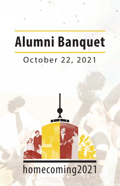# **Alumni Banquet**

۵

### October 22, 2021



## homecoming2021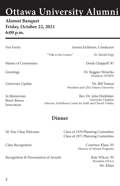#### **Alumni Banquet Friday, October 22, 2021 6:00 p.m.**

Vox Fortis Serena Eichhorn, Conductor ""Ode to the Creator" Dr. Harold Popp Master of Ceremonies Derek Chappell '87 Greetings Dr. Reggies Wenyika President, OUMW University Update Dr. Bill Tsutsui President and CEO, Ottawa University In Memoriam Rev. Dr. John Holzhüter Brave Braves **Braves** University Chaplain Invocation Director, Fredrikson Center for Faith and Church Vitality

#### **Dinner**

50-Year Class Welcome Class of 1970 Planning Committee Class of 1971 Planning Committee

Class Recognition Courtney Klaus '05 Director of Alumni Programs

> President, OUAA Ms. Klaus

Recognition & Presentation of Awards Kate Wilcox '05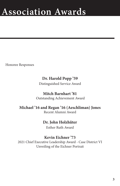Honoree Responses

#### **Dr. Harold Popp '59**

Distinguished Service Award

#### **Mitch Barnhart '81**

Outstanding Achievement Award

#### **Michael '16 and Regan '16 (Aeschliman) Jones**

Recent Alumni Award

#### **Dr. John Holzhüter**

Esther Ruth Award

#### **Kevin Eichner '73**

2021 Chief Executive Leadership Award - Case District VI Unveiling of the Eichner Portrait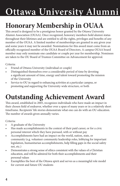### **Honorary Membership in OUAA**

This award is designed to be a prestigious honor granted by the Ottawa University Alumni Association (OUAA). Once recognized, honorary members hold alumni status throughout their lifetimes and are entitled to all the rights, privileges and benefits of any member of the OUAA. A limited number of memberships are granted in any given year and some years it may not be awarded. Nominations for this award must come from an officially recognized member of the OUAA Board of Directors. A campus OUAA board member may only nominate one candidate or couple per year for membership. Nominees are taken to the OU Board of Trustees Committee on Advancement for approval.

Criteria:

- Friend of Ottawa University (individual or couple)
- Distinguished themselves over a considerable period of time by devoting a significant amount of time, energy and talent toward promoting the mission of the University
- Service to OU in regard to enhancing activities at a particular campus, or promoting and supporting the University-wide structure, or both

### **Outstanding Achievement Award**

This award, established in 2005, recognizes individuals who have made an impact in their chosen field of endeavor, whether over a span of many years or in a relatively short timeframe. Recipients' life stories demonstrate what one can do with an OU education. The number of awards given annually varies.

Criteria:

- A graduate of the University
- Has made accomplishments in the context of their paid career, or for a civic personal interest which they have pursued, with or without pay
- Accomplishments have had an impact on the world, nation, state, or community (e.g. volunteer community leadership roles, lobbying for important legislation, humanitarian accomplishments, help filling gaps in the social safety net, etc.)
- Demonstrates a strong sense of ethics consistent with the values of a Christian education, and will be admired for both their accomplishments and their personal values
- Exemplifies the best of the Ottawa spirit and serves as a meaningful role model for current and future OU students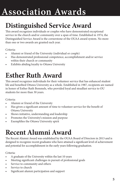### **Distinguished Service Award**

This award recognizes individuals or couples who have demonstrated exceptional service in the church and/or community over a span of time. Established in 1974, the Distinguished Service Award is the cornerstone of the OUAA award system. No more than one or two awards are granted each year.

Criteria:

- Alumni or friend of the University (individual or couple)
- Has demonstrated professional competence, accomplishment and/or service within their church or community
- Exhibits abiding loyalty to Ottawa University

### **Esther Ruth Award**

This award recognizes individuals for their volunteer service that has enhanced student life and benefited Ottawa University as a whole. Established in 1987, recipients are named in honor of Esther Ruth Bemmels, who provided loyal and steadfast service to OU students for more than 30 years.

Criteria:

- Alumni or friend of the University
- Has given a significant amount of time to volunteer service for the benefit of Ottawa University
- Shows initiative, understanding and leadership
- Promotes the University's mission and purpose
- Exemplifies the Ottawa University spirit

### **Recent Alumni Award**

The Recent Alumni Award was established by the OUAA Board of Directors in 2013 and is designed to recognize recent graduates who have attained a significant level of achievement and potential for accomplishment in the early years following graduation.

Criteria:

- A graduate of the University within the last 10 years
- Meeting significant challenges in pursuit of professional goals
- Service to community and others
- Service to church
- Significant alumni participation and support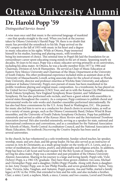### **Dr. Harold Popp '59**

*Distinguished Service Award*

A wise man once said that music is the universal language of mankind – one that speaks straight to the soul. When you look at the journey taken by Ottawa University's Harold Popp '59, there is no doubt that music has provided the soundtrack to his life. Popp arrived on the OU campus in the fall of 1955 with music in his heart and a degree in music education in his sights. While at Ottawa, Popp immersed himself in his studies, learning and playing music, with trombone



being his instrument of choice. This seminal time in Popp's life laid the foundation for an extraordinary career spent educating young minds in the art of music. Spanning nearly six decades, 56 years to be exact, Popp was a music educator serving primarily at six universities, including his alma mater. At Ottawa, he was a faculty member from 1977 to 1984 and Chairman, Division of Arts & Humanities. He served as Chair of Music Education at Eastern New Mexico University and Chairman of the Music Department at the University of South Dakota. His other professional experience included stints as assistant dean at the University of Massachusetts-Lowell, acting associate dean for the school of music at Florida State University, director and professor emeritus at Wichita State University, and adjunct professor at Indiana University. Popp's own pursuit of music has been manifested in his prolific trombone playing and original music composition. As a trombonist, he has played on the United Service Organizations (USO) Tour, and sat in with the Kansas City Philharmonic, South Dakota Symphony, New England Symphony Brass Quintet, and Tallahassee Symphony. He has also performed solo recitals, and been a guest soloist with ensembles in several states throughout the country. As a composer, Popp continues to publish choral and instrumental works for solo works and chamber ensembles performed internationally. He has also had three commissions by the U.S. Army Band in Washington, D.C. His passion for music also led him to serve as a conductor for church choirs in several states, as well as for a variety of music groups, such as the Ottawa Community Band, Delano Wind & Brass ensembles, and the University of South Dakota Symphony Orchestra. Popp has published extensively and served as editor of the *Kansas Music Review* and the *International Trombone Association Journal*. He's also traveled extensively, serving as a speaker for state, national and international conferences and conventions, and as a consultant for the National Association for Schools of Music, North Central Accreditation Council, and the National Association for Music Education. His textbook *Discovering the Creative Impulse* has been used at several universities.

In the church, he has volunteered as a solo trombonist, Sunday school teacher, lay speaker, worship, music and arts chair, and life group leader. He has also served as an instructor of courses in Arts & Christianity, as a study group leader on the works of C.S. Lewis, and as a writer of meditations, short stories, poetry, and philosophy and religious articles. In addition, Popp has been a Cub Scout and Scout master for the Boy Scouts of America. Finally, in serving his alma mater, Popp was a member and past president of the Ottawa University Alumni Association. Sharing in his journey is a large and loving family. Popp's wife, Vicki (Schrey) Popp, is a 1961 OU graduate. They have three grown children: two sons, Michael and Christopher Popp; and a daughter, Debbi (Popp) Ponella. Along with them is daughterin-law Amy (Sonju) Popp, son-in-law Philip Ponella, and seven grandchildren: Taylor, Tony, Luke, Victoria, Julia, Vaughan, and Autumn. Popp's parents, Asa and Nellie, started a family legacy at OU in the 1920s, that extended to him and his wife, and also includes a brother, Clair; a sister, Carol; a nephew, Mark; a niece, Connie; and two cousins, Lorrel and Dorothy.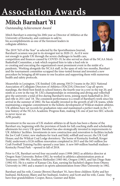### **Mitch Barnhart '81**

*Outstanding Achievement Award*

Mitch Barnhart is entering his 20th year as Director of Athletics at the University of Kentucky, and continues to add to his accomplishments as one of the foremost leaders in collegiate athletics.

The 2019 "AD of the Year" as selected by the SportsBusiness Journal, Barnhart's acumen was put to its strongest test in 2020-21. As if it were not enough to guide UK through the severe challenges in health care,



competition and finances caused by COVID-19, he also served as chair of the NCAA Men's Basketball Committee, a task which required him to take a lead role in re-creating and executing the organization's most prominent event in the midst of a pandemic. Working alongside the NCAA staff, in the span of only two months, Barnhart and the tournament committee scrapped the time-tested format and invented a new procedure by bringing all 68 teams to one location and supporting them with numerous health and safety protocols.

Meanwhile in Lexington, UK finished 12th among 358 D-I teams in the 2021 National Association of Collegiate Directors of Athletics (NACDA) Directors' Cup all-sports standings, the third-best finish in school history, the fourth year in a row in the top 20, and ninth in a row in the top 30. UK's championships in swimming and diving and volleyball give the university a total of five during Barnhart's term, joining men's basketball in 2012 and rifle in 2011 and '18. The consistent performance is a result of Barnhart's work since his arrival in the summer of 2002. He has steadily invested in the growth of all UK teams, while maintaining a singular commitment to the holistic development of Wildcat student-athletes. UK athletes have set records for graduation rates and maintained a perfect mark in the 17 year history of the NCAA Academic Progress Rate, making UK one of just two SEC schools to never incur an APR penalty.

Investment in the success of UK student-athletes in all facets has been a theme of the Barnhart era, beginning with the provision of funds for full coaching staffs and scholarship allotments for every UK sport. Barnhart has also strategically invested in improvements to UK Athletics' facilities. Investments in new construction and renovation to facilities include the Joe Craft Center; new stadiums for track and field, softball and soccer; the UK Golf House; and the Wildcat Coal Lodge dormitory. The home of Kentucky football, Kroger Field, underwent a \$126 million renovation completed in 2015 and the \$45 million Joe Craft Football Training Facility opened a year later. A new \$49 million baseball stadium – Kentucky Proud Park – opened in fall of 2018.

Prior to UK, Barnhart served four successful years (1998-2002) as athletics director at Oregon State University. Before OSU, he worked in athletics administration posts at Tennessee (1986-98), Southern Methodist (1983-86), Oregon (1983), and San Diego State (1982-83). He is a native of Kansas City, Kan, earning his bachelor's degree from Ottawa University in 1981 and a master's in sports administration from Ohio University in 1982.

Barnhart and his wife, Connie (Brown) Barnhart '81, have three children: Kirby and her husband, McKenzie; Blaire and her husband, Andrew; and Scott and his wife, Cassie. They have four grandchildren: Cooper, Reece, Gunner and Rylee.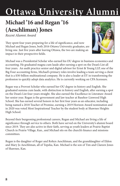### **Michael '16 and Regan '16 (Aeschliman) Jones**

*Recent Alumni Award*

They spent four years preparing for a life of significance, and now Michael and Regan Jones, both 2016 Ottawa University graduates, are living one. Just five years after leaving Ottawa, the two are making an impact in their prospective fields.



Michael was a Presidential Scholar who earned his OU degree in business economics and accounting. He graduated magna cum laude after earning a spot on the Dean's List all four years. An audit practice senior and digital advisor for Ernst & Young LLP, one of the Big Four accounting firms, Michael's primary roles involve leading a team serving a client that is a \$30-billion multinational company. He is also a leader at EY in transforming the profession to quickly adopt data analytics. He is currently working on CPA licensure.

Regan was a Provost Scholar who earned her OU degree in history and English. She graduated summa cum laude, with distinction in history and English, after earning a spot on the Dean's List four-years straight. She also earned the Excellence in Literature Award her senior year. Regan is the government and law teacher at Basehor-Linwood High School. She has earned several honors in her first four years as an educator, including being named a 2018 Teacher of Promise, earning a 2019 Horizon Award nomination and in 2020 was voted Most Inspirational Teacher by the student body at Shawnee Heights High School.

Beyond their burgeoning professional careers, Regan and Michael are living a life of significance through service to others. Both have served on the University's alumni board since 2019. They are also active in their faith, serving as youth leaders at Prairie Baptist Church in Prairie Village, Kan., and Michael sits on the church's finance and missions committees.

Regan is the daughter of Roger and Robyn Aeschliman, and the granddaughter of Eldon and Mary Jo Aeschliman, all of Topeka, Kan. Michael is the son of Tim and Clareen Jones of Shawnee, Kan.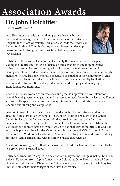### **Dr. John Holzhüter**

*Esther Ruth Award*

John Holzhüter is an educator and long-time advocate for the needs of disadvantaged youth. He currently serves as the University Chaplain for Ottawa University. Holzhüter also leads the Fredrikson Center for Faith and Church Vitality, which initiates and develops programming to strengthen and enrich the faith experiences of OU students.



Holzhüter is the spiritual leader of the University through his service as chaplain. In leading the Fredrikson Center, he focuses on and advances the mission of Ottawa University through its programming, which includes spiritual programming for theologians, church leaders, faculty members, pastors and laity, students and community members. The Fredrikson Center also provides a spiritual house for community events. His previous roles at the University include classroom and community facilitation, serving as director for OU theater productions, and developing and managing grant-funded programming.

Since 1999, he has worked as an efficiency and process-improvement consultant for several federal government agencies and has served on task forces for the last three Kansas governors. He specializes in profit/not-for-profit partnerships and private, state, and federal grant funding and compliance.

Prior to Ottawa, Holzhüter served as a secondary-school administrator, and as the director of an alternative high school. He spent two years as president of the Winter Center for Restorative Justice, a nonprofit that provides services to the frail, the underserved, or those in high-risk environments in 20 Kansas counties. Holzhüter has also led large nonprofit agencies from start-up to national service footprints. In addition to past Chaplaincy roles with the Veteran's Administration and VVA-Chapter 912, he has served as a WorkForce Development Specialist, assisting current and former military personnel, senior citizens and with restorative justice case referrals.

A widower following the death of his beloved wife, Linda, he lives in Ottawa, Kan. He has two grown sons, Sean and Scott.

Holzhüter earned his BA degree in fine arts from Marymount College in Salina, Kan., and a MA in Education from Capital University in Columbus, Ohio. He also holds a Master of Divinity and Doctor of Divinity from Trinity College and a Doctor of Psychology from Merton, both constituent colleges of the Oxford University.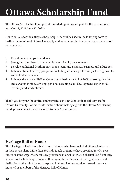## **Ottawa Scholarship Fund**

The Ottawa Scholarship Fund provides needed operating support for the current fiscal year (July 1, 2021-June 30, 2022).

Contributions for the Ottawa Scholarship Fund will be used in the following ways to further the mission of Ottawa University and to enhance the total experience for each of our students:

- 1. Provide scholarships to students.
- 2. Strengthen our liberal arts curriculum and faculty development.
- 3. Develop additional depth in our schools: Arts and Sciences, Business and Education
- 4. Enhance student activity programs, including athletics, performing arts, religious life, and volunteer services.
- 5. Enhance the Adawe LifePlan Center, launched in the fall of 2009, to strengthen life and career planning, advising, personal coaching, skill development, experiential learning, and study abroad.

Thank you for your thoughtful and prayerful consideration of financial support for Ottawa University. For more information about making a gift to the Ottawa Scholarship Fund, please contact the Office of University Advancement.

#### **Heritage Roll of Honor**

The Heritage Roll of Honor is a listing of donors who have included Ottawa University in their estate plans. More than 500 individuals or families have provided for Ottawa's future in some way, whether it is by provisions in a will or trust, a charitable gift annuity, an endowed scholarship, or many other possibilities. Because of their generosity and dedication to the ministry and purpose of Ottawa University, all of these donors are inducted as members of the Heritage Roll of Honor.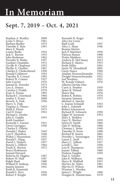## **In Memoriam**

#### **Sept. 7, 2019 – Oct. 4, 2021**

| Stephen A. Bradley<br>Leota V. Bruce | 2009<br>1961 | Kenneth H. Koger             | 1960 |
|--------------------------------------|--------------|------------------------------|------|
| Barbara Bueller                      | 1974         | Alice Joy Lewis<br>Ruth Losh | 1947 |
|                                      | 1991         |                              | 1946 |
| Timothy E. Buis                      |              | Alice L. Maas                |      |
| Mary E. Bundy                        |              | <b>Bonnie Martin</b>         |      |
| Louise Burke                         | 1954         | Jack P. Martinez             | 1958 |
| Jack C. Burton                       | 1953         | Patricia Mason               | 1968 |
| John Bushman                         | 1962         | Dottie Matthew               | 1952 |
| Dorothy R. Butler                    | 1957         | Andrew R. McCluney           | 2013 |
| Gardner Champlin                     | 1972         | Richard E. Meiers            | 1953 |
| Orville R. Chapman                   | 1952         | Keith Miller                 | 1962 |
| Phyllis A. Chesbro                   | 1967         | Justin W. Moenkhoff          | 2001 |
| Charles E. Clinkenbeard              | 1950         | Gwen Nance                   | 1968 |
| Ronald Coldsnow                      | 1954         | Aladine Neuenschwander       | 1952 |
| Timothy R. Conard                    | 1992         | Dwight Neuenschwander        | 1952 |
| Robert H. Cramer                     | 1957         | Joel Nordeen                 | 1951 |
| Julie Currier                        | 1976         | M. Rosalie Osburn            | 1976 |
| Samuel K. Detwiler                   | 1973         | Alberta Davida Otto          |      |
| Lisa A. Disney                       | 1979         | Carol A. Pember              | 1959 |
| Carolyn J. Dodds                     | 1970         | James R. Poland              | 1950 |
| Evan A. Doran                        | 1992         | Henry Ray                    | 1976 |
| Richard C. Esterlund                 | 1964         | Robin K. Robins              | 1970 |
| Amber S. Evans                       | 2008         | Susanne Sammer               | 1972 |
| Beverly A. Fink                      | 1956         | Michael A. Sancho            |      |
| Harry A. Fink                        |              | C. Jeanne Schmidt            | 1943 |
| Virginia A. Flusser                  | 1953         | John L. Schmidt              | 1965 |
| Mark E. Flynn                        | 1975         | Robert Schoonover            |      |
| Carl D. Foust                        | 1952         | Richard H. Schwartz          | 1958 |
| Michael L. Fowler                    |              | Edgar W. Seymour             | 1952 |
| John E. Gaddis                       | 1953         | Mary L. Sheldon              |      |
| Keith Gaeddert                       |              | Gary N. Shofner              | 1959 |
| Kenneth C. Garner                    | 1951         | Sylvia H. Smith              | 1969 |
|                                      | 1950         |                              | 1960 |
| Gwen Garrigues                       |              | Gale D. Stelting             | 1949 |
| Charles E. Gillette                  |              | Clemma L. Stone              |      |
| Donald J. Haden                      | 1945         | Timothy D. Stone             | 1990 |
| Lois E. Hamilton                     | 1948         | Richard B. Suarez            | 2002 |
| Walter J. Hauenstein                 | 1955         | Dorothy L. Swearingen        | 1964 |
| Ronald L. Haug                       | 1957         | Laurie L. Swift              | 1971 |
| David L. Hiebert                     | 1957         | Harry C. Talbott             | 1957 |
| Bonnie L. Hilbert                    | 1964         | Lowell L. Tarr               | 1956 |
| Frank K. Horton                      | 1972         | Lois B. Thompson             | 1955 |
| <b>Bruce Hoskinson</b>               |              | Jeanne Tiffany               | 1969 |
| Samuel Howard                        |              | Darlene Vaughn               | 1959 |
| Roberta M. Hughes                    | 1967         | Paul A. Volcker              |      |
| Robert W. Hull                       | 1947         | John E. Walburn              | 1964 |
| Ralph Hunt                           | 1960         | Harry R. Walthall            | 1953 |
| Willard D. Inskeep                   | 1956         | Myrtice M. Watts             | 1961 |
| Juanita Janssen                      | 1941         | Marvin H. Wilson             | 1960 |
| Keith R. Kaminski                    |              | Winston L. Worden            |      |
| Ronald L. Kerr                       | 1956         | James C. Wright              | 1960 |
| Robert F. Knight                     | 1959         | Douglas R. Zimmerman         | 1970 |
|                                      |              |                              |      |